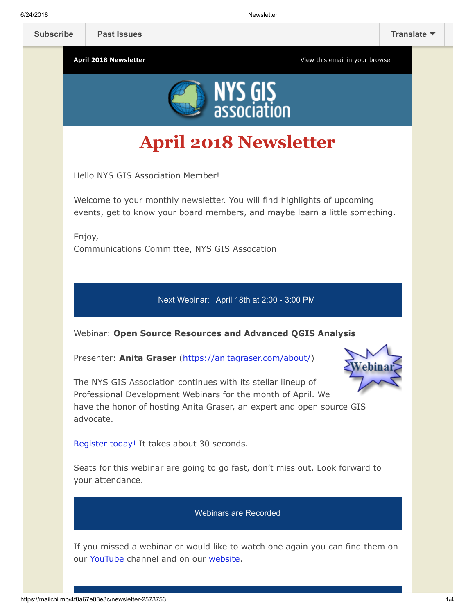**April 2018 Newsletter April 2018** Newsletter **[View this email in your browser](https://mailchi.mp/4f8a67e08e3c/newsletter-2573753?e=[UNIQID])** 



## **April 2018 Newsletter**

Hello NYS GIS Association Member!

Welcome to your monthly newsletter. You will find highlights of upcoming events, get to know your board members, and maybe learn a little something.

Enjoy, Communications Committee, NYS GIS Assocation

Next Webinar: April 18th at 2:00 - 3:00 PM

Webinar: **Open Source Resources and Advanced QGIS Analysis**

Presenter: **Anita Graser** ([https://anitagraser.com/about/\)](https://anitagraser.com/about/)



The NYS GIS Association continues with its stellar lineup of Professional Development Webinars for the month of April. We have the honor of hosting Anita Graser, an expert and open source GIS advocate.

[Register today!](https://nysgisa.clickmeeting.com/qgis-advanced/register) It takes about 30 seconds.

Seats for this webinar are going to go fast, don't miss out. Look forward to your attendance.

Webinars are Recorded

If you missed a webinar or would like to watch one again you can find them on our [YouTube](https://www.youtube.com/user/NYSGISA) channel and on our [website.](https://www.nysgis.net/featured/professional-development-resources/)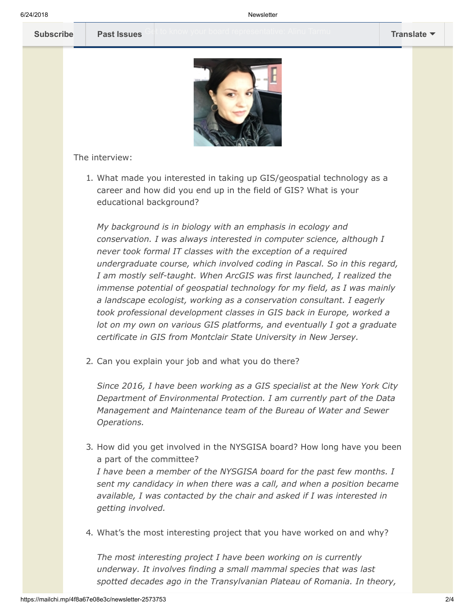

The interview:

1. What made you interested in taking up GIS/geospatial technology as a career and how did you end up in the field of GIS? What is your educational background?

*My background is in biology with an emphasis in ecology and conservation. I was always interested in computer science, although I never took formal IT classes with the exception of a required undergraduate course, which involved coding in Pascal. So in this regard, I am mostly self-taught. When ArcGIS was first launched, I realized the immense potential of geospatial technology for my field, as I was mainly a landscape ecologist, working as a conservation consultant. I eagerly took professional development classes in GIS back in Europe, worked a lot on my own on various GIS platforms, and eventually I got a graduate certificate in GIS from Montclair State University in New Jersey.*

2. Can you explain your job and what you do there?

*Since 2016, I have been working as a GIS specialist at the New York City Department of Environmental Protection. I am currently part of the Data Management and Maintenance team of the Bureau of Water and Sewer Operations.*

- 3. How did you get involved in the NYSGISA board? How long have you been a part of the committee? *I have been a member of the NYSGISA board for the past few months. I sent my candidacy in when there was a call, and when a position became available, I was contacted by the chair and asked if I was interested in getting involved.*
- 4. What's the most interesting project that you have worked on and why?

*The most interesting project I have been working on is currently underway. It involves finding a small mammal species that was last spotted decades ago in the Transylvanian Plateau of Romania. In theory,*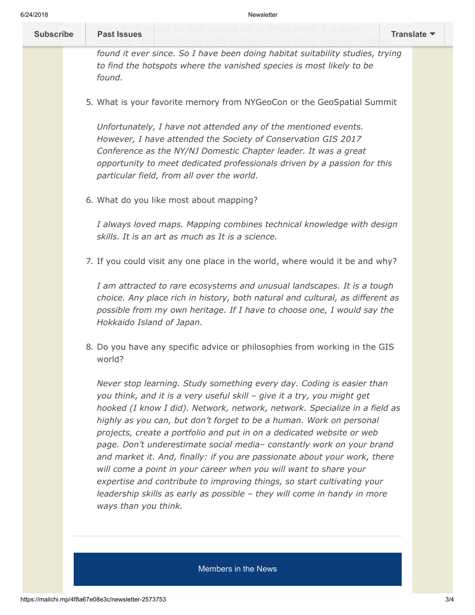*currently documented by IUCN as likely to live there. However, nobody found it ever since. So I have been doing habitat suitability studies, trying to find the hotspots where the vanished species is most likely to be found.*

*[there is no rea](https://us9.campaign-archive.com/home/?u=79136ebe8b18b11ee073cc61c&id=787fea6e72)son for that species not to thrive there. It is even*

5. What is your favorite memory from NYGeoCon or the GeoSpatial Summit

*Unfortunately, I have not attended any of the mentioned events. However, I have attended the Society of Conservation GIS 2017 Conference as the NY/NJ Domestic Chapter leader. It was a great opportunity to meet dedicated professionals driven by a passion for this particular field, from all over the world.*

6. What do you like most about mapping?

*I always loved maps. Mapping combines technical knowledge with design skills. It is an art as much as It is a science.*

7. If you could visit any one place in the world, where would it be and why?

*I am attracted to rare ecosystems and unusual landscapes. It is a tough choice. Any place rich in history, both natural and cultural, as different as possible from my own heritage. If I have to choose one, I would say the Hokkaido Island of Japan.*

8. Do you have any specific advice or philosophies from working in the GIS world?

*Never stop learning. Study something every day. Coding is easier than you think, and it is a very useful skill – give it a try, you might get hooked (I know I did). Network, network, network. Specialize in a field as highly as you can, but don't forget to be a human. Work on personal projects, create a portfolio and put in on a dedicated website or web page. Don't underestimate social media– constantly work on your brand and market it. And, finally: if you are passionate about your work, there will come a point in your career when you will want to share your expertise and contribute to improving things, so start cultivating your leadership skills as early as possible – they will come in handy in more ways than you think.*

## Members in the News